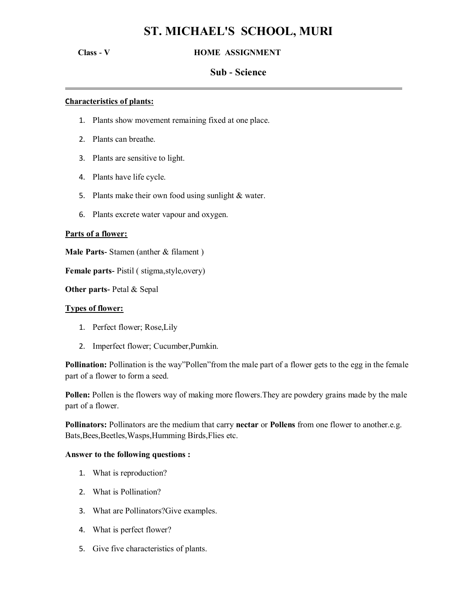# **ST. MICHAEL'S SCHOOL, MURI**

# **Class - V HOME ASSIGNMENT**

# **Sub - Science**

 **.**

# **Characteristics of plants:**

- 1. Plants show movement remaining fixed at one place.
- 2. Plants can breathe.
- 3. Plants are sensitive to light.
- 4. Plants have life cycle.
- 5. Plants make their own food using sunlight & water.
- 6. Plants excrete water vapour and oxygen.

#### **Parts of a flower:**

**Male Parts-** Stamen (anther & filament )

**Female parts-** Pistil ( stigma,style,overy)

**Other parts-** Petal & Sepal

#### **Types of flower:**

- 1. Perfect flower; Rose,Lily
- 2. Imperfect flower; Cucumber,Pumkin.

**Pollination:** Pollination is the way"Pollen"from the male part of a flower gets to the egg in the female part of a flower to form a seed.

**Pollen:** Pollen is the flowers way of making more flowers.They are powdery grains made by the male part of a flower.

**Pollinators:** Pollinators are the medium that carry **nectar** or **Pollens** from one flower to another.e.g. Bats,Bees,Beetles,Wasps,Humming Birds,Flies etc.

# **Answer to the following questions :**

- 1. What is reproduction?
- 2. What is Pollination?
- 3. What are Pollinators?Give examples.
- 4. What is perfect flower?
- 5. Give five characteristics of plants.